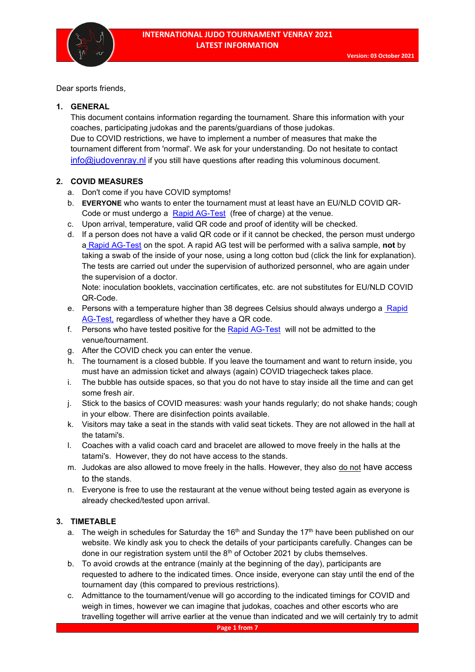

Dear sports friends,

#### **1. GENERAL**

This document contains information regarding the tournament. Share this information with your coaches, participating judokas and the parents/guardians of those judokas. Due to COVID restrictions, we have to implement a number of measures that make the tournament different from 'normal'. We ask for your understanding. Do not hesitate to contact [info@judovenray.nl](mailto:info@judovenray.nl) if you still have questions after reading this voluminous document.

# **2. COVID MEASURES**

- a. Don't come if you have COVID symptoms!
- b. **EVERYONE** who wants to enter the tournament must at least have an EU/NLD COVID QR-Code or must undergo a [Rapid AG-Test](https://judovenray.nl/index.php/nl/covidagtest) (free of charge) at the venue.
- c. Upon arrival, temperature, valid QR code and proof of identity will be checked.
- d. If a person does not have a valid QR code or if it cannot be checked, the person must undergo a [Rapid AG-Test](https://judovenray.nl/index.php/nl/covidagtest) on the spot. A rapid AG test will be performed with a saliva sample, **not** by taking a swab of the inside of your nose, using a long cotton bud (click the link for explanation). The tests are carried out under the supervision of authorized personnel, who are again under the supervision of a doctor.

Note: inoculation booklets, vaccination certificates, etc. are not substitutes for EU/NLD COVID QR-Code.

- e. Persons with a temperature higher than 38 degrees Celsius should always undergo a Rapid [AG-Test,](https://judovenray.nl/index.php/nl/covidagtest) regardless of whether they have a QR code.
- f. Persons who have tested positive for the [Rapid AG-Test](https://judovenray.nl/index.php/nl/covidagtest) will not be admitted to the venue/tournament.
- g. After the COVID check you can enter the venue.
- h. The tournament is a closed bubble. If you leave the tournament and want to return inside, you must have an admission ticket and always (again) COVID triagecheck takes place.
- i. The bubble has outside spaces, so that you do not have to stay inside all the time and can get some fresh air.
- j. Stick to the basics of COVID measures: wash your hands regularly; do not shake hands; cough in your elbow. There are disinfection points available.
- k. Visitors may take a seat in the stands with valid seat tickets. They are not allowed in the hall at the tatami's.
- l. Coaches with a valid coach card and bracelet are allowed to move freely in the halls at the tatami's. However, they do not have access to the stands.
- m. Judokas are also allowed to move freely in the halls. However, they also do not have access to the stands.
- n. Everyone is free to use the restaurant at the venue without being tested again as everyone is already checked/tested upon arrival.

# **3. TIMETABLE**

- a. The weigh in schedules for Saturday the 16<sup>th</sup> and Sunday the 17<sup>th</sup> have been published on our website. We kindly ask you to check the details of your participants carefully. Changes can be done in our registration system until the 8<sup>th</sup> of October 2021 by clubs themselves.
- b. To avoid crowds at the entrance (mainly at the beginning of the day), participants are requested to adhere to the indicated times. Once inside, everyone can stay until the end of the tournament day (this compared to previous restrictions).
- c. Admittance to the tournament/venue will go according to the indicated timings for COVID and weigh in times, however we can imagine that judokas, coaches and other escorts who are travelling together will arrive earlier at the venue than indicated and we will certainly try to admit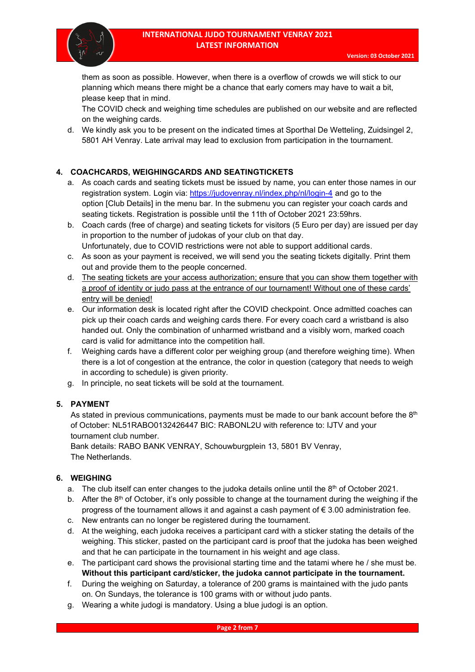

them as soon as possible. However, when there is a overflow of crowds we will stick to our planning which means there might be a chance that early comers may have to wait a bit, please keep that in mind.

The COVID check and weighing time schedules are published on our website and are reflected on the weighing cards.

d. We kindly ask you to be present on the indicated times at Sporthal De Wetteling, Zuidsingel 2, 5801 AH Venray. Late arrival may lead to exclusion from participation in the tournament.

# **4. COACHCARDS, WEIGHINGCARDS AND SEATINGTICKETS**

- a. As coach cards and seating tickets must be issued by name, you can enter those names in our registration system. Login via:<https://judovenray.nl/index.php/nl/login-4> and go to the option [Club Details] in the menu bar. In the submenu you can register your coach cards and seating tickets. Registration is possible until the 11th of October 2021 23:59hrs.
- b. Coach cards (free of charge) and seating tickets for visitors (5 Euro per day) are issued per day in proportion to the number of judokas of your club on that day. Unfortunately, due to COVID restrictions were not able to support additional cards.
- c. As soon as your payment is received, we will send you the seating tickets digitally. Print them out and provide them to the people concerned.
- d. The seating tickets are your access authorization; ensure that you can show them together with a proof of identity or judo pass at the entrance of our tournament! Without one of these cards' entry will be denied!
- e. Our information desk is located right after the COVID checkpoint. Once admitted coaches can pick up their coach cards and weighing cards there. For every coach card a wristband is also handed out. Only the combination of unharmed wristband and a visibly worn, marked coach card is valid for admittance into the competition hall.
- f. Weighing cards have a different color per weighing group (and therefore weighing time). When there is a lot of congestion at the entrance, the color in question (category that needs to weigh in according to schedule) is given priority.
- g. In principle, no seat tickets will be sold at the tournament.

# **5. PAYMENT**

As stated in previous communications, payments must be made to our bank account before the  $8<sup>th</sup>$ of October: NL51RABO0132426447 BIC: RABONL2U with reference to: IJTV and your tournament club number.

Bank details: RABO BANK VENRAY, Schouwburgplein 13, 5801 BV Venray, The Netherlands.

# **6. WEIGHING**

- a. The club itself can enter changes to the judoka details online until the  $8<sup>th</sup>$  of October 2021.
- b. After the  $8<sup>th</sup>$  of October, it's only possible to change at the tournament during the weighing if the progress of the tournament allows it and against a cash payment of € 3.00 administration fee.
- c. New entrants can no longer be registered during the tournament.
- d. At the weighing, each judoka receives a participant card with a sticker stating the details of the weighing. This sticker, pasted on the participant card is proof that the judoka has been weighed and that he can participate in the tournament in his weight and age class.
- e. The participant card shows the provisional starting time and the tatami where he / she must be. **Without this participant card/sticker, the judoka cannot participate in the tournament.**
- f. During the weighing on Saturday, a tolerance of 200 grams is maintained with the judo pants on. On Sundays, the tolerance is 100 grams with or without judo pants.
- g. Wearing a white judogi is mandatory. Using a blue judogi is an option.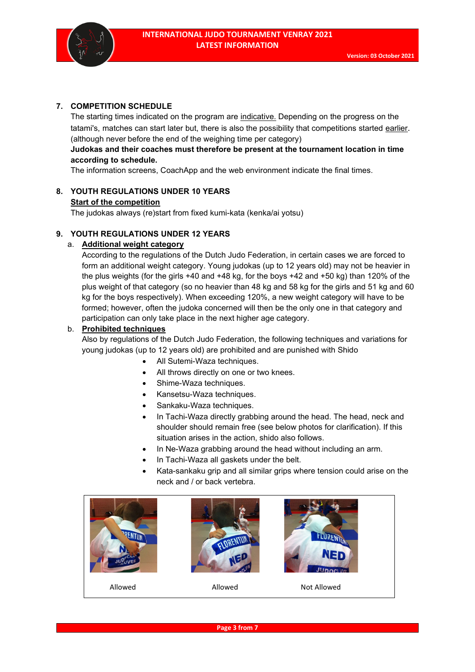

## **7. COMPETITION SCHEDULE**

The starting times indicated on the program are indicative. Depending on the progress on the tatami's, matches can start later but, there is also the possibility that competitions started earlier. (although never before the end of the weighing time per category)

## **Judokas and their coaches must therefore be present at the tournament location in time according to schedule.**

The information screens, CoachApp and the web environment indicate the final times.

# **8. YOUTH REGULATIONS UNDER 10 YEARS**

#### **Start of the competition**

The judokas always (re)start from fixed kumi-kata (kenka/ai yotsu)

## **9. YOUTH REGULATIONS UNDER 12 YEARS**

#### a. **Additional weight category**

According to the regulations of the Dutch Judo Federation, in certain cases we are forced to form an additional weight category. Young judokas (up to 12 years old) may not be heavier in the plus weights (for the girls +40 and +48 kg, for the boys +42 and +50 kg) than 120% of the plus weight of that category (so no heavier than 48 kg and 58 kg for the girls and 51 kg and 60 kg for the boys respectively). When exceeding 120%, a new weight category will have to be formed; however, often the judoka concerned will then be the only one in that category and participation can only take place in the next higher age category.

#### b. **Prohibited techniques**

Also by regulations of the Dutch Judo Federation, the following techniques and variations for young judokas (up to 12 years old) are prohibited and are punished with Shido

- All Sutemi-Waza techniques.
- All throws directly on one or two knees.
- Shime-Waza techniques.
- Kansetsu-Waza techniques.
- Sankaku-Waza techniques.
- In Tachi-Waza directly grabbing around the head. The head, neck and shoulder should remain free (see below photos for clarification). If this situation arises in the action, shido also follows.
- In Ne-Waza grabbing around the head without including an arm.
- In Tachi-Waza all gaskets under the belt.
- Kata-sankaku grip and all similar grips where tension could arise on the neck and / or back vertebra.

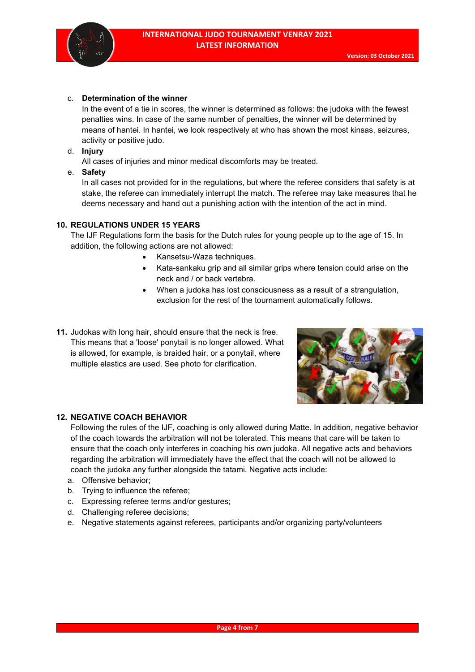

#### c. **Determination of the winner**

In the event of a tie in scores, the winner is determined as follows: the judoka with the fewest penalties wins. In case of the same number of penalties, the winner will be determined by means of hantei. In hantei, we look respectively at who has shown the most kinsas, seizures, activity or positive judo.

d. **Injury**

All cases of injuries and minor medical discomforts may be treated.

e. **Safety**

In all cases not provided for in the regulations, but where the referee considers that safety is at stake, the referee can immediately interrupt the match. The referee may take measures that he deems necessary and hand out a punishing action with the intention of the act in mind.

#### **10. REGULATIONS UNDER 15 YEARS**

The IJF Regulations form the basis for the Dutch rules for young people up to the age of 15. In addition, the following actions are not allowed:

- Kansetsu-Waza techniques.
- Kata-sankaku grip and all similar grips where tension could arise on the neck and / or back vertebra.
- When a judoka has lost consciousness as a result of a strangulation, exclusion for the rest of the tournament automatically follows.
- **11.** Judokas with long hair, should ensure that the neck is free. This means that a 'loose' ponytail is no longer allowed. What is allowed, for example, is braided hair, or a ponytail, where multiple elastics are used. See photo for clarification.



#### **12. NEGATIVE COACH BEHAVIOR**

Following the rules of the IJF, coaching is only allowed during Matte. In addition, negative behavior of the coach towards the arbitration will not be tolerated. This means that care will be taken to ensure that the coach only interferes in coaching his own judoka. All negative acts and behaviors regarding the arbitration will immediately have the effect that the coach will not be allowed to coach the judoka any further alongside the tatami. Negative acts include:

- a. Offensive behavior;
- b. Trying to influence the referee;
- c. Expressing referee terms and/or gestures;
- d. Challenging referee decisions;
- e. Negative statements against referees, participants and/or organizing party/volunteers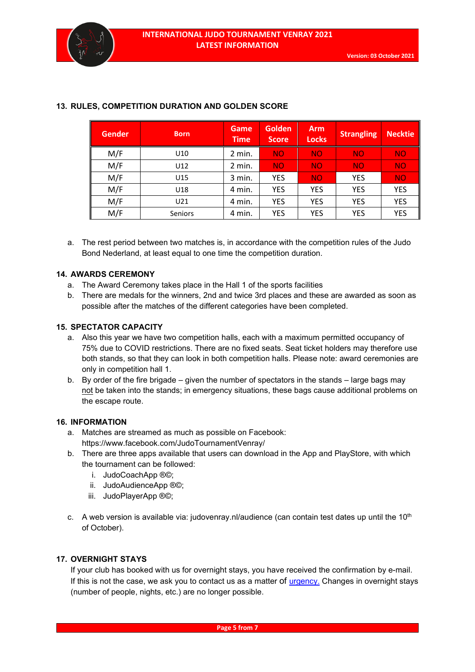| <b>Gender</b> | <b>Born</b> | Game<br><b>Time</b> | <b>Golden</b><br><b>Score</b> | <b>Arm</b><br><b>Locks</b> | <b>Strangling</b> | <b>Necktie</b> |
|---------------|-------------|---------------------|-------------------------------|----------------------------|-------------------|----------------|
| M/F           | U10         | 2 min.              | <b>NO</b>                     | <b>NO</b>                  | <b>NO</b>         | <b>NO</b>      |
| M/F           | U12         | 2 min.              | <b>NO</b>                     | <b>NO</b>                  | <b>NO</b>         | <b>NO</b>      |
| M/F           | U15         | 3 min.              | <b>YES</b>                    | <b>NO</b>                  | <b>YES</b>        | <b>NO</b>      |
| M/F           | U18         | 4 min.              | <b>YES</b>                    | <b>YES</b>                 | <b>YES</b>        | <b>YES</b>     |
| M/F           | U21         | 4 min.              | <b>YES</b>                    | YES                        | <b>YES</b>        | <b>YES</b>     |
| M/F           | Seniors     | 4 min.              | <b>YES</b>                    | YES                        | <b>YES</b>        | <b>YES</b>     |

## **13. RULES, COMPETITION DURATION AND GOLDEN SCORE**

a. The rest period between two matches is, in accordance with the competition rules of the Judo Bond Nederland, at least equal to one time the competition duration.

## **14. AWARDS CEREMONY**

- a. The Award Ceremony takes place in the Hall 1 of the sports facilities
- b. There are medals for the winners, 2nd and twice 3rd places and these are awarded as soon as possible after the matches of the different categories have been completed.

## **15. SPECTATOR CAPACITY**

- a. Also this year we have two competition halls, each with a maximum permitted occupancy of 75% due to COVID restrictions. There are no fixed seats. Seat ticket holders may therefore use both stands, so that they can look in both competition halls. Please note: award ceremonies are only in competition hall 1.
- b. By order of the fire brigade given the number of spectators in the stands large bags may not be taken into the stands; in emergency situations, these bags cause additional problems on the escape route.

#### **16. INFORMATION**

- a. Matches are streamed as much as possible on Facebook: https://www.facebook.com/JudoTournamentVenray/
- b. There are three apps available that users can download in the App and PlayStore, with which the tournament can be followed:
	- i. JudoCoachApp ®©;
	- ii. JudoAudienceApp ®©;
	- iii. JudoPlayerApp ®©;
- c. A web version is available via: judovenray.nl/audience (can contain test dates up until the  $10<sup>th</sup>$ of October).

#### **17. OVERNIGHT STAYS**

If your club has booked with us for overnight stays, you have received the confirmation by e-mail. If this is not the case, we ask you to contact us as a matter of *urgency*. Changes in overnight stays (number of people, nights, etc.) are no longer possible.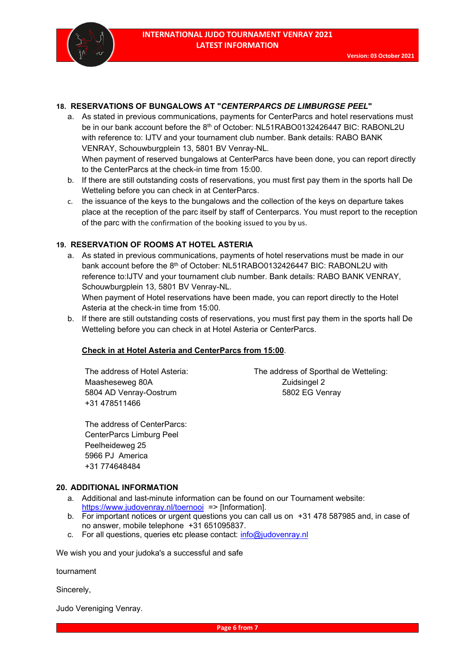

#### **18. RESERVATIONS OF BUNGALOWS AT "***CENTERPARCS DE LIMBURGSE PEEL***"**

- a. As stated in previous communications, payments for CenterParcs and hotel reservations must be in our bank account before the 8<sup>th</sup> of October: NL51RABO0132426447 BIC: RABONL2U with reference to: IJTV and your tournament club number. Bank details: RABO BANK VENRAY, Schouwburgplein 13, 5801 BV Venray-NL. When payment of reserved bungalows at CenterParcs have been done, you can report directly to the CenterParcs at the check-in time from 15:00.
- b. If there are still outstanding costs of reservations, you must first pay them in the sports hall De Wetteling before you can check in at CenterParcs.
- c. the issuance of the keys to the bungalows and the collection of the keys on departure takes place at the reception of the parc itself by staff of Centerparcs. You must report to the reception of the parc with the confirmation of the booking issued to you by us.

#### **19. RESERVATION OF ROOMS AT HOTEL ASTERIA**

a. As stated in previous communications, payments of hotel reservations must be made in our bank account before the 8<sup>th</sup> of October: NL51RABO0132426447 BIC: RABONL2U with reference to:IJTV and your tournament club number. Bank details: RABO BANK VENRAY, Schouwburgplein 13, 5801 BV Venray-NL.

When payment of Hotel reservations have been made, you can report directly to the Hotel Asteria at the check-in time from 15:00.

b. If there are still outstanding costs of reservations, you must first pay them in the sports hall De Wetteling before you can check in at Hotel Asteria or CenterParcs.

#### **Check in at Hotel Asteria and CenterParcs from 15:00**.

Maasheseweg 80A Zuidsingel 2 5804 AD Venray-Oostrum 5802 EG Venray +31 478511466

The address of Hotel Asteria: The address of Sporthal de Wetteling:

The address of CenterParcs: CenterParcs Limburg Peel Peelheideweg 25 5966 PJ America +31 774648484

#### **20. ADDITIONAL INFORMATION**

- a. Additional and last-minute information can be found on our Tournament website: <https://www.judovenray.nl/toernooi> => [Information].
- b. For important notices or urgent questions you can call us on +31 478 587985 and, in case of no answer, mobile telephone +31 651095837.
- c. For all questions, queries etc please contact: [info@judovenray.nl](mailto:info@judovenray.nl)

We wish you and your judoka's a successful and safe

tournament

Sincerely,

Judo Vereniging Venray.